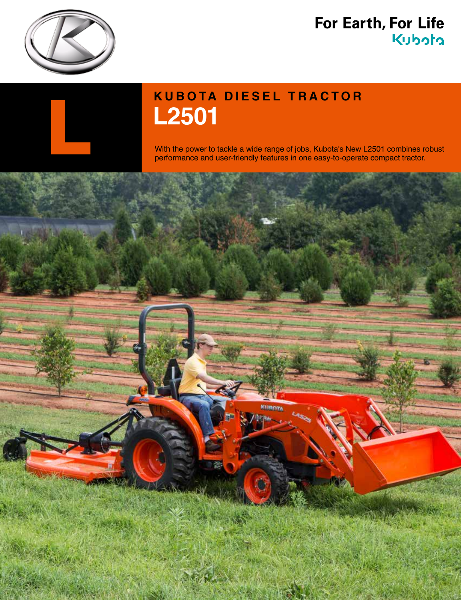

## For Earth, For Life kubota



## **KUBOTA DIESEL TRACTOR L2501** With the power to tackle a wide range of jobs, Kubota's New L2501 combines robust performance and user-friendly features in one easy-to-operate compact tractor.

performance and user-friendly features in one easy-to-operate compact tractor.

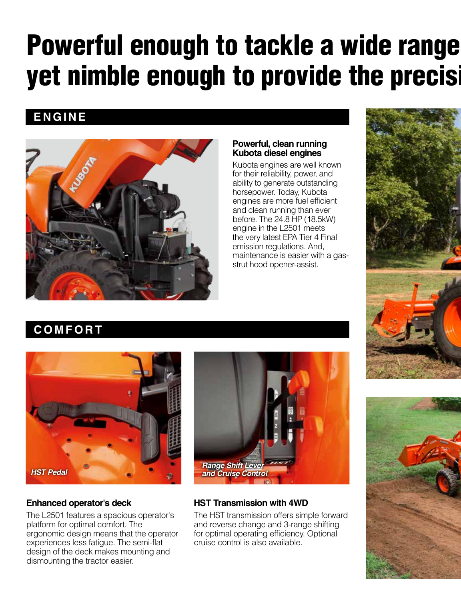## Powerful enough to tackle a wide range yet nimble enough to provide the precisi

### **ENGINE**



### **Powerful, clean running Kubota diesel engines**

Kubota engines are well known for their reliability, power, and ability to generate outstanding horsepower. Today, Kubota engines are more fuel efficient and clean running than ever before. The 24.8 HP (18.5kW) engine in the L2501 meets the very latest EPA Tier 4 Final emission regulations. And, maintenance is easier with a gasstrut hood opener-assist.









### **Enhanced operator's deck**

The L2501 features a spacious operator's platform for optimal comfort. The ergonomic design means that the operator experiences less fatigue. The semi-flat design of the deck makes mounting and dismounting the tractor easier.



### **HST Transmission with 4WD**

The HST transmission offers simple forward and reverse change and 3-range shifting for optimal operating efficiency. Optional cruise control is also available.

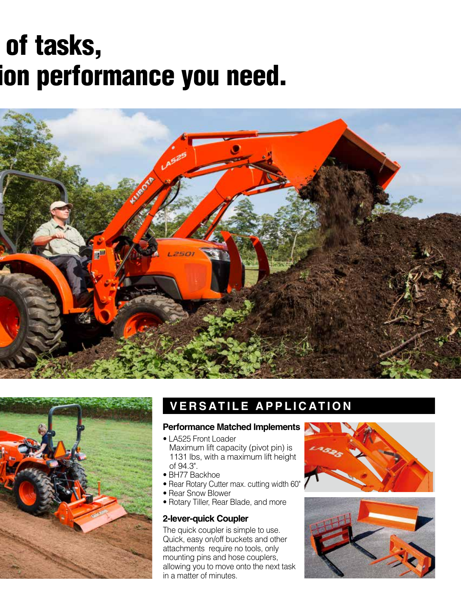## of tasks, ion performance you need.





### **VERSATILE APPLICATION**

#### **Performance Matched Implements**

• LA525 Front Loader

 Maximum lift capacity (pivot pin) is 1131 lbs, with a maximum lift height of 94.3".

- BH77 Backhoe
- Rear Rotary Cutter max. cutting width 60"
- Rear Snow Blower
- Rotary Tiller, Rear Blade, and more

### **2-lever-quick Coupler**

The quick coupler is simple to use. Quick, easy on/off buckets and other attachments require no tools, only mounting pins and hose couplers, allowing you to move onto the next task in a matter of minutes.